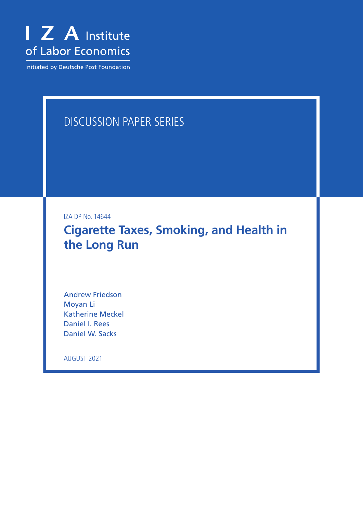

Initiated by Deutsche Post Foundation

# DISCUSSION PAPER SERIES

IZA DP No. 14644

**Cigarette Taxes, Smoking, and Health in the Long Run**

Andrew Friedson Moyan Li Katherine Meckel Daniel I. Rees Daniel W. Sacks

AUGUST 2021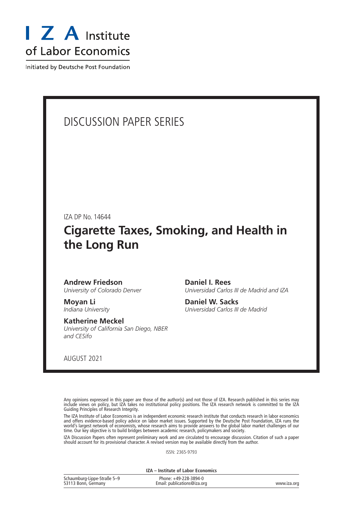

Initiated by Deutsche Post Foundation

## DISCUSSION PAPER SERIES

IZA DP No. 14644

## **Cigarette Taxes, Smoking, and Health in the Long Run**

## **Andrew Friedson**

*University of Colorado Denver*

**Moyan Li** *Indiana University*

## **Katherine Meckel**

*University of California San Diego, NBER and CESifo*

**Daniel I. Rees** *Universidad Carlos III de Madrid and IZA*

**Daniel W. Sacks** *Universidad Carlos III de Madrid*

AUGUST 2021

Any opinions expressed in this paper are those of the author(s) and not those of IZA. Research published in this series may include views on policy, but IZA takes no institutional policy positions. The IZA research network is committed to the IZA Guiding Principles of Research Integrity.

The IZA Institute of Labor Economics is an independent economic research institute that conducts research in labor economics and offers evidence-based policy advice on labor market issues. Supported by the Deutsche Post Foundation, IZA runs the world's largest network of economists, whose research aims to provide answers to the global labor market challenges of our time. Our key objective is to build bridges between academic research, policymakers and society.

IZA Discussion Papers often represent preliminary work and are circulated to encourage discussion. Citation of such a paper should account for its provisional character. A revised version may be available directly from the author.

ISSN: 2365-9793

**IZA – Institute of Labor Economics**

| Schaumburg-Lippe-Straße 5-9 | Phone: +49-228-3894-0       |             |
|-----------------------------|-----------------------------|-------------|
| 53113 Bonn, Germany         | Email: publications@iza.org | www.iza.org |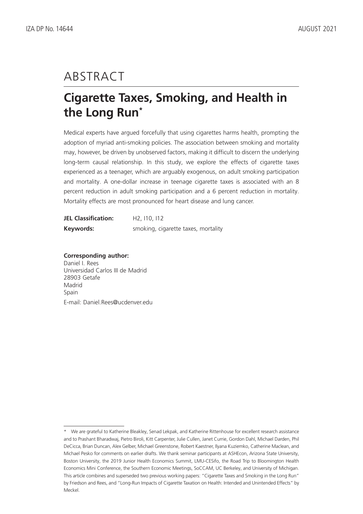## ABSTRACT

## **Cigarette Taxes, Smoking, and Health in the Long Run\***

Medical experts have argued forcefully that using cigarettes harms health, prompting the adoption of myriad anti-smoking policies. The association between smoking and mortality may, however, be driven by unobserved factors, making it difficult to discern the underlying long-term causal relationship. In this study, we explore the effects of cigarette taxes experienced as a teenager, which are arguably exogenous, on adult smoking participation and mortality. A one-dollar increase in teenage cigarette taxes is associated with an 8 percent reduction in adult smoking participation and a 6 percent reduction in mortality. Mortality effects are most pronounced for heart disease and lung cancer.

| <b>JEL Classification:</b> | H <sub>2</sub> , 110, 112           |  |
|----------------------------|-------------------------------------|--|
| Keywords:                  | smoking, cigarette taxes, mortality |  |

**Corresponding author:** Daniel I. Rees Universidad Carlos III de Madrid 28903 Getafe Madrid Spain E-mail: Daniel.Rees@ucdenver.edu

<sup>\*</sup> We are grateful to Katherine Bleakley, Senad Lekpak, and Katherine Rittenhouse for excellent research assistance and to Prashant Bharadwaj, Pietro Biroli, Kitt Carpenter, Julie Cullen, Janet Currie, Gordon Dahl, Michael Darden, Phil DeCicca, Brian Duncan, Alex Gelber, Michael Greenstone, Robert Kaestner, Ilyana Kuziemko, Catherine Maclean, and Michael Pesko for comments on earlier drafts. We thank seminar participants at ASHEcon, Arizona State University, Boston University, the 2019 Junior Health Economics Summit, LMU-CESifo, the Road Trip to Bloomington Health Economics Mini Conference, the Southern Economic Meetings, SoCCAM, UC Berkeley, and University of Michigan. This article combines and superseded two previous working papers: "Cigarette Taxes and Smoking in the Long Run" by Friedson and Rees, and "Long-Run Impacts of Cigarette Taxation on Health: Intended and Unintended Effects" by Meckel.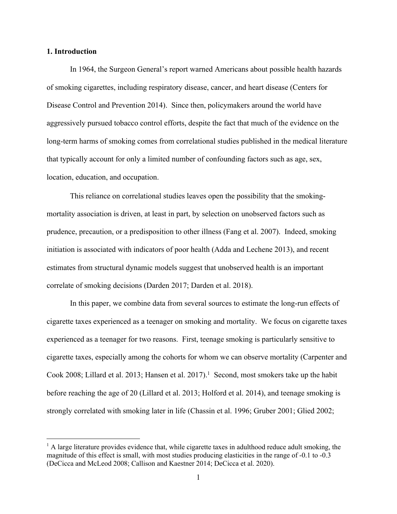### **1. Introduction**

In 1964, the Surgeon General's report warned Americans about possible health hazards of smoking cigarettes, including respiratory disease, cancer, and heart disease (Centers for Disease Control and Prevention 2014). Since then, policymakers around the world have aggressively pursued tobacco control efforts, despite the fact that much of the evidence on the long-term harms of smoking comes from correlational studies published in the medical literature that typically account for only a limited number of confounding factors such as age, sex, location, education, and occupation.

This reliance on correlational studies leaves open the possibility that the smokingmortality association is driven, at least in part, by selection on unobserved factors such as prudence, precaution, or a predisposition to other illness (Fang et al. 2007). Indeed, smoking initiation is associated with indicators of poor health (Adda and Lechene 2013), and recent estimates from structural dynamic models suggest that unobserved health is an important correlate of smoking decisions (Darden 2017; Darden et al. 2018).

In this paper, we combine data from several sources to estimate the long-run effects of cigarette taxes experienced as a teenager on smoking and mortality. We focus on cigarette taxes experienced as a teenager for two reasons. First, teenage smoking is particularly sensitive to cigarette taxes, especially among the cohorts for whom we can observe mortality (Carpenter and Cook 2008; Lillard et al. 2013; Hansen et al. 2017).<sup>1</sup> Second, most smokers take up the habit before reaching the age of 20 (Lillard et al. 2013; Holford et al. 2014), and teenage smoking is strongly correlated with smoking later in life (Chassin et al. 1996; Gruber 2001; Glied 2002;

 $<sup>1</sup>$  A large literature provides evidence that, while cigarette taxes in adulthood reduce adult smoking, the</sup> magnitude of this effect is small, with most studies producing elasticities in the range of -0.1 to -0.3 (DeCicca and McLeod 2008; Callison and Kaestner 2014; DeCicca et al. 2020).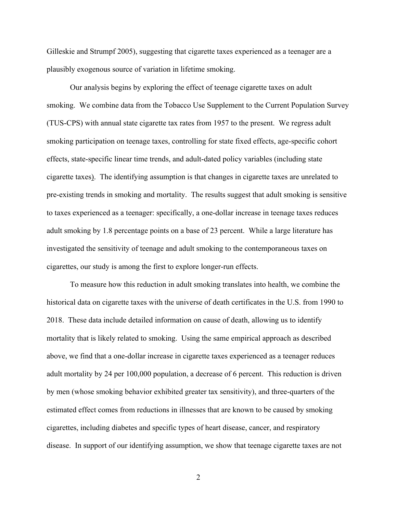Gilleskie and Strumpf 2005), suggesting that cigarette taxes experienced as a teenager are a plausibly exogenous source of variation in lifetime smoking.

Our analysis begins by exploring the effect of teenage cigarette taxes on adult smoking. We combine data from the Tobacco Use Supplement to the Current Population Survey (TUS-CPS) with annual state cigarette tax rates from 1957 to the present. We regress adult smoking participation on teenage taxes, controlling for state fixed effects, age-specific cohort effects, state-specific linear time trends, and adult-dated policy variables (including state cigarette taxes). The identifying assumption is that changes in cigarette taxes are unrelated to pre-existing trends in smoking and mortality. The results suggest that adult smoking is sensitive to taxes experienced as a teenager: specifically, a one-dollar increase in teenage taxes reduces adult smoking by 1.8 percentage points on a base of 23 percent. While a large literature has investigated the sensitivity of teenage and adult smoking to the contemporaneous taxes on cigarettes, our study is among the first to explore longer-run effects.

To measure how this reduction in adult smoking translates into health, we combine the historical data on cigarette taxes with the universe of death certificates in the U.S. from 1990 to 2018. These data include detailed information on cause of death, allowing us to identify mortality that is likely related to smoking. Using the same empirical approach as described above, we find that a one-dollar increase in cigarette taxes experienced as a teenager reduces adult mortality by 24 per 100,000 population, a decrease of 6 percent. This reduction is driven by men (whose smoking behavior exhibited greater tax sensitivity), and three-quarters of the estimated effect comes from reductions in illnesses that are known to be caused by smoking cigarettes, including diabetes and specific types of heart disease, cancer, and respiratory disease. In support of our identifying assumption, we show that teenage cigarette taxes are not

2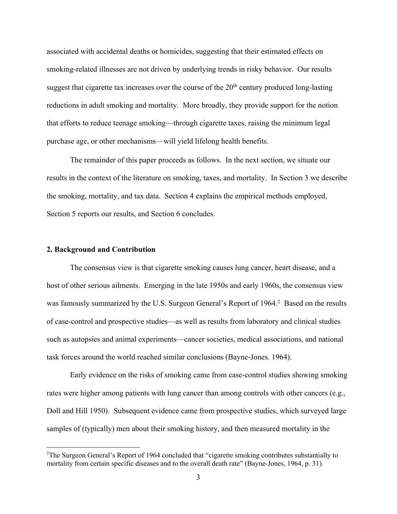associated with accidental deaths or homicides, suggesting that their estimated effects on smoking-related illnesses are not driven by underlying trends in risky behavior. Our results suggest that cigarette tax increases over the course of the  $20<sup>th</sup>$  century produced long-lasting reductions in adult smoking and mortality. More broadly, they provide support for the notion that efforts to reduce teenage smoking—through cigarette taxes, raising the minimum legal purchase age, or other mechanisms—will yield lifelong health benefits.

The remainder of this paper proceeds as follows. In the next section, we situate our results in the context of the literature on smoking, taxes, and mortality. In Section 3 we describe the smoking, mortality, and tax data. Section 4 explains the empirical methods employed, Section 5 reports our results, and Section 6 concludes.

### **2. Background and Contribution**

The consensus view is that cigarette smoking causes lung cancer, heart disease, and a host of other serious ailments. Emerging in the late 1950s and early 1960s, the consensus view was famously summarized by the U.S. Surgeon General's Report of 1964.<sup>2</sup> Based on the results of case-control and prospective studies—as well as results from laboratory and clinical studies such as autopsies and animal experiments—cancer societies, medical associations, and national task forces around the world reached similar conclusions (Bayne-Jones. 1964).

Early evidence on the risks of smoking came from case-control studies showing smoking rates were higher among patients with lung cancer than among controls with other cancers (e.g., Doll and Hill 1950). Subsequent evidence came from prospective studies, which surveyed large samples of (typically) men about their smoking history, and then measured mortality in the

<sup>&</sup>lt;sup>2</sup>The Surgeon General's Report of 1964 concluded that "cigarette smoking contributes substantially to mortality from certain specific diseases and to the overall death rate" (Bayne-Jones, 1964, p. 31).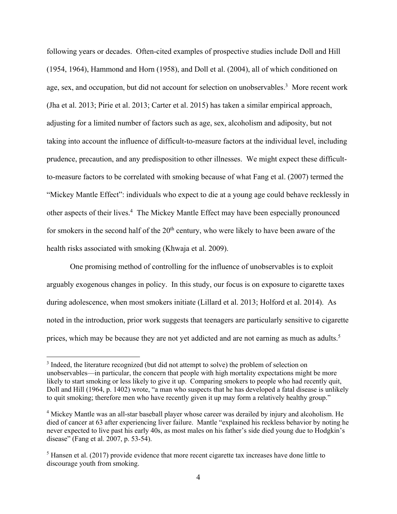following years or decades. Often-cited examples of prospective studies include Doll and Hill (1954, 1964), Hammond and Horn (1958), and Doll et al. (2004), all of which conditioned on age, sex, and occupation, but did not account for selection on unobservables.<sup>3</sup> More recent work (Jha et al. 2013; Pirie et al. 2013; Carter et al. 2015) has taken a similar empirical approach, adjusting for a limited number of factors such as age, sex, alcoholism and adiposity, but not taking into account the influence of difficult-to-measure factors at the individual level, including prudence, precaution, and any predisposition to other illnesses. We might expect these difficultto-measure factors to be correlated with smoking because of what Fang et al. (2007) termed the "Mickey Mantle Effect": individuals who expect to die at a young age could behave recklessly in other aspects of their lives. <sup>4</sup> The Mickey Mantle Effect may have been especially pronounced for smokers in the second half of the  $20<sup>th</sup>$  century, who were likely to have been aware of the health risks associated with smoking (Khwaja et al. 2009).

One promising method of controlling for the influence of unobservables is to exploit arguably exogenous changes in policy. In this study, our focus is on exposure to cigarette taxes during adolescence, when most smokers initiate (Lillard et al. 2013; Holford et al. 2014). As noted in the introduction, prior work suggests that teenagers are particularly sensitive to cigarette prices, which may be because they are not yet addicted and are not earning as much as adults.<sup>5</sup>

<sup>&</sup>lt;sup>3</sup> Indeed, the literature recognized (but did not attempt to solve) the problem of selection on unobservables—in particular, the concern that people with high mortality expectations might be more likely to start smoking or less likely to give it up. Comparing smokers to people who had recently quit, Doll and Hill (1964, p. 1402) wrote, "a man who suspects that he has developed a fatal disease is unlikely to quit smoking; therefore men who have recently given it up may form a relatively healthy group."

<sup>&</sup>lt;sup>4</sup> Mickey Mantle was an all-star baseball player whose career was derailed by injury and alcoholism. He died of cancer at 63 after experiencing liver failure. Mantle "explained his reckless behavior by noting he never expected to live past his early 40s, as most males on his father's side died young due to Hodgkin's disease" (Fang et al. 2007, p. 53-54).

 $<sup>5</sup>$  Hansen et al. (2017) provide evidence that more recent cigarette tax increases have done little to</sup> discourage youth from smoking.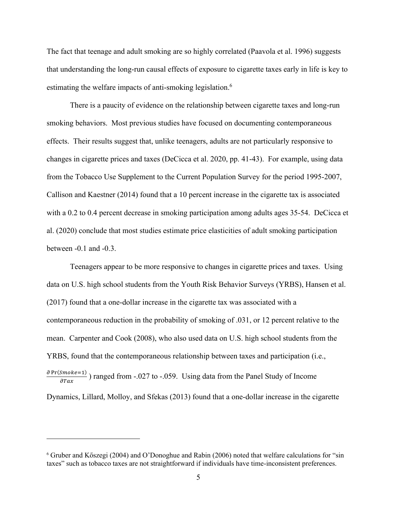The fact that teenage and adult smoking are so highly correlated (Paavola et al. 1996) suggests that understanding the long-run causal effects of exposure to cigarette taxes early in life is key to estimating the welfare impacts of anti-smoking legislation.<sup>6</sup>

There is a paucity of evidence on the relationship between cigarette taxes and long-run smoking behaviors. Most previous studies have focused on documenting contemporaneous effects. Their results suggest that, unlike teenagers, adults are not particularly responsive to changes in cigarette prices and taxes (DeCicca et al. 2020, pp. 41-43). For example, using data from the Tobacco Use Supplement to the Current Population Survey for the period 1995-2007, Callison and Kaestner (2014) found that a 10 percent increase in the cigarette tax is associated with a 0.2 to 0.4 percent decrease in smoking participation among adults ages 35-54. DeCicca et al. (2020) conclude that most studies estimate price elasticities of adult smoking participation between -0.1 and -0.3.

Teenagers appear to be more responsive to changes in cigarette prices and taxes. Using data on U.S. high school students from the Youth Risk Behavior Surveys (YRBS), Hansen et al. (2017) found that a one-dollar increase in the cigarette tax was associated with a contemporaneous reduction in the probability of smoking of .031, or 12 percent relative to the mean. Carpenter and Cook (2008), who also used data on U.S. high school students from the YRBS, found that the contemporaneous relationship between taxes and participation (i.e.,  $\frac{\partial Pr(Smoke=1)}{\partial Tax}$ ) ranged from -.027 to -.059. Using data from the Panel Study of Income

Dynamics, Lillard, Molloy, and Sfekas (2013) found that a one-dollar increase in the cigarette

<sup>6</sup> Gruber and Kőszegi (2004) and O'Donoghue and Rabin (2006) noted that welfare calculations for "sin taxes" such as tobacco taxes are not straightforward if individuals have time-inconsistent preferences.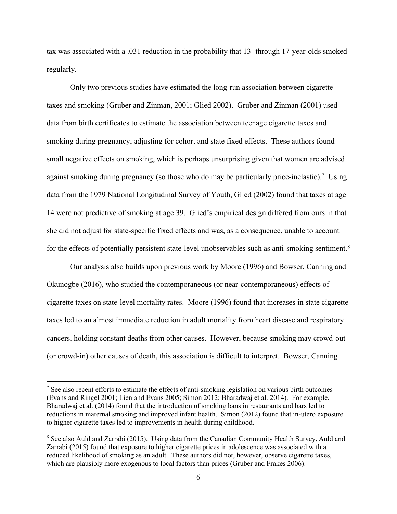tax was associated with a .031 reduction in the probability that 13- through 17-year-olds smoked regularly.

Only two previous studies have estimated the long-run association between cigarette taxes and smoking (Gruber and Zinman, 2001; Glied 2002). Gruber and Zinman (2001) used data from birth certificates to estimate the association between teenage cigarette taxes and smoking during pregnancy, adjusting for cohort and state fixed effects. These authors found small negative effects on smoking, which is perhaps unsurprising given that women are advised against smoking during pregnancy (so those who do may be particularly price-inelastic).<sup>7</sup> Using data from the 1979 National Longitudinal Survey of Youth, Glied (2002) found that taxes at age 14 were not predictive of smoking at age 39. Glied's empirical design differed from ours in that she did not adjust for state-specific fixed effects and was, as a consequence, unable to account for the effects of potentially persistent state-level unobservables such as anti-smoking sentiment.<sup>8</sup>

Our analysis also builds upon previous work by Moore (1996) and Bowser, Canning and Okunogbe (2016), who studied the contemporaneous (or near-contemporaneous) effects of cigarette taxes on state-level mortality rates. Moore (1996) found that increases in state cigarette taxes led to an almost immediate reduction in adult mortality from heart disease and respiratory cancers, holding constant deaths from other causes. However, because smoking may crowd-out (or crowd-in) other causes of death, this association is difficult to interpret. Bowser, Canning

 $<sup>7</sup>$  See also recent efforts to estimate the effects of anti-smoking legislation on various birth outcomes</sup> (Evans and Ringel 2001; Lien and Evans 2005; Simon 2012; Bharadwaj et al. 2014). For example, Bharadwaj et al. (2014) found that the introduction of smoking bans in restaurants and bars led to reductions in maternal smoking and improved infant health. Simon (2012) found that in-utero exposure to higher cigarette taxes led to improvements in health during childhood.

<sup>&</sup>lt;sup>8</sup> See also Auld and Zarrabi (2015). Using data from the Canadian Community Health Survey, Auld and Zarrabi (2015) found that exposure to higher cigarette prices in adolescence was associated with a reduced likelihood of smoking as an adult. These authors did not, however, observe cigarette taxes, which are plausibly more exogenous to local factors than prices (Gruber and Frakes 2006).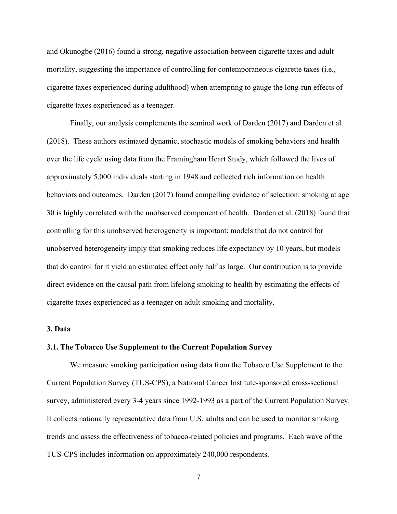and Okunogbe (2016) found a strong, negative association between cigarette taxes and adult mortality, suggesting the importance of controlling for contemporaneous cigarette taxes (i.e., cigarette taxes experienced during adulthood) when attempting to gauge the long-run effects of cigarette taxes experienced as a teenager.

Finally, our analysis complements the seminal work of Darden (2017) and Darden et al. (2018). These authors estimated dynamic, stochastic models of smoking behaviors and health over the life cycle using data from the Framingham Heart Study, which followed the lives of approximately 5,000 individuals starting in 1948 and collected rich information on health behaviors and outcomes. Darden (2017) found compelling evidence of selection: smoking at age 30 is highly correlated with the unobserved component of health. Darden et al. (2018) found that controlling for this unobserved heterogeneity is important: models that do not control for unobserved heterogeneity imply that smoking reduces life expectancy by 10 years, but models that do control for it yield an estimated effect only half as large. Our contribution is to provide direct evidence on the causal path from lifelong smoking to health by estimating the effects of cigarette taxes experienced as a teenager on adult smoking and mortality.

## **3. Data**

### **3.1. The Tobacco Use Supplement to the Current Population Survey**

We measure smoking participation using data from the Tobacco Use Supplement to the Current Population Survey (TUS-CPS), a National Cancer Institute-sponsored cross-sectional survey, administered every 3-4 years since 1992-1993 as a part of the Current Population Survey. It collects nationally representative data from U.S. adults and can be used to monitor smoking trends and assess the effectiveness of tobacco-related policies and programs. Each wave of the TUS-CPS includes information on approximately 240,000 respondents.

7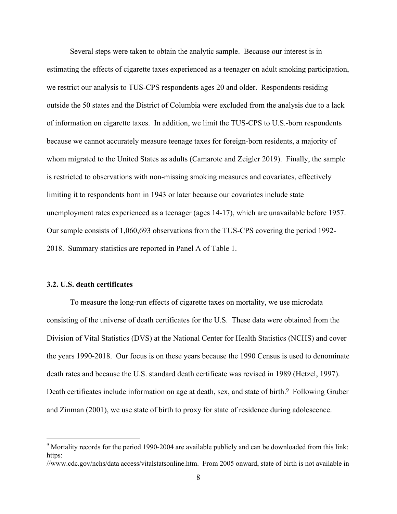Several steps were taken to obtain the analytic sample. Because our interest is in estimating the effects of cigarette taxes experienced as a teenager on adult smoking participation, we restrict our analysis to TUS-CPS respondents ages 20 and older. Respondents residing outside the 50 states and the District of Columbia were excluded from the analysis due to a lack of information on cigarette taxes. In addition, we limit the TUS-CPS to U.S.-born respondents because we cannot accurately measure teenage taxes for foreign-born residents, a majority of whom migrated to the United States as adults (Camarote and Zeigler 2019). Finally, the sample is restricted to observations with non-missing smoking measures and covariates, effectively limiting it to respondents born in 1943 or later because our covariates include state unemployment rates experienced as a teenager (ages 14-17), which are unavailable before 1957. Our sample consists of 1,060,693 observations from the TUS-CPS covering the period 1992- 2018. Summary statistics are reported in Panel A of Table 1.

### **3.2. U.S. death certificates**

To measure the long-run effects of cigarette taxes on mortality, we use microdata consisting of the universe of death certificates for the U.S. These data were obtained from the Division of Vital Statistics (DVS) at the National Center for Health Statistics (NCHS) and cover the years 1990-2018. Our focus is on these years because the 1990 Census is used to denominate death rates and because the U.S. standard death certificate was revised in 1989 (Hetzel, 1997). Death certificates include information on age at death, sex, and state of birth.<sup>9</sup> Following Gruber and Zinman (2001), we use state of birth to proxy for state of residence during adolescence.

<sup>&</sup>lt;sup>9</sup> Mortality records for the period 1990-2004 are available publicly and can be downloaded from this link: https:

<sup>//</sup>www.cdc.gov/nchs/data access/vitalstatsonline.htm. From 2005 onward, state of birth is not available in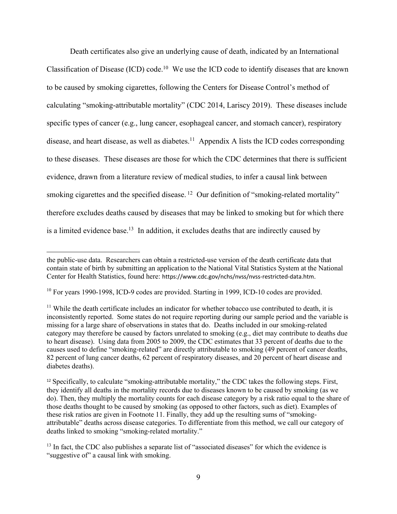Death certificates also give an underlying cause of death, indicated by an International Classification of Disease (ICD) code.10 We use the ICD code to identify diseases that are known to be caused by smoking cigarettes, following the Centers for Disease Control's method of calculating "smoking-attributable mortality" (CDC 2014, Lariscy 2019). These diseases include specific types of cancer (e.g., lung cancer, esophageal cancer, and stomach cancer), respiratory disease, and heart disease, as well as diabetes.<sup>11</sup> Appendix A lists the ICD codes corresponding to these diseases. These diseases are those for which the CDC determines that there is sufficient evidence, drawn from a literature review of medical studies, to infer a causal link between smoking cigarettes and the specified disease.<sup>12</sup> Our definition of "smoking-related mortality" therefore excludes deaths caused by diseases that may be linked to smoking but for which there is a limited evidence base.<sup>13</sup> In addition, it excludes deaths that are indirectly caused by

the public-use data. Researchers can obtain a restricted-use version of the death certificate data that contain state of birth by submitting an application to the National Vital Statistics System at the National Center for Health Statistics, found here: https://www.cdc.gov/nchs/nvss/nvss-restricted-data.htm.

<sup>&</sup>lt;sup>10</sup> For years 1990-1998, ICD-9 codes are provided. Starting in 1999, ICD-10 codes are provided.

 $11$  While the death certificate includes an indicator for whether tobacco use contributed to death, it is inconsistently reported. Some states do not require reporting during our sample period and the variable is missing for a large share of observations in states that do. Deaths included in our smoking-related category may therefore be caused by factors unrelated to smoking (e.g., diet may contribute to deaths due to heart disease). Using data from 2005 to 2009, the CDC estimates that 33 percent of deaths due to the causes used to define "smoking-related" are directly attributable to smoking (49 percent of cancer deaths, 82 percent of lung cancer deaths, 62 percent of respiratory diseases, and 20 percent of heart disease and diabetes deaths).

<sup>12</sup> Specifically, to calculate "smoking-attributable mortality," the CDC takes the following steps. First, they identify all deaths in the mortality records due to diseases known to be caused by smoking (as we do). Then, they multiply the mortality counts for each disease category by a risk ratio equal to the share of those deaths thought to be caused by smoking (as opposed to other factors, such as diet). Examples of these risk ratios are given in Footnote 11. Finally, they add up the resulting sums of "smokingattributable" deaths across disease categories. To differentiate from this method, we call our category of deaths linked to smoking "smoking-related mortality."

 $13$  In fact, the CDC also publishes a separate list of "associated diseases" for which the evidence is "suggestive of" a causal link with smoking.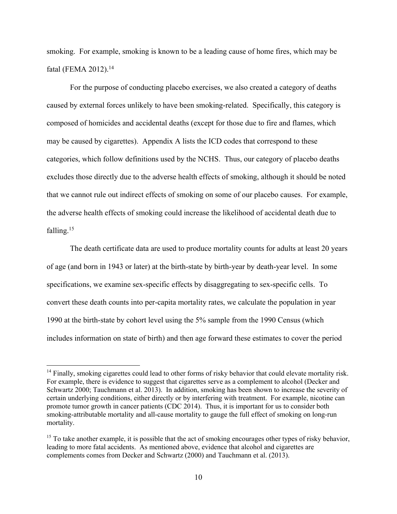smoking. For example, smoking is known to be a leading cause of home fires, which may be fatal (FEMA 2012).<sup>14</sup>

For the purpose of conducting placebo exercises, we also created a category of deaths caused by external forces unlikely to have been smoking-related. Specifically, this category is composed of homicides and accidental deaths (except for those due to fire and flames, which may be caused by cigarettes). Appendix A lists the ICD codes that correspond to these categories, which follow definitions used by the NCHS. Thus, our category of placebo deaths excludes those directly due to the adverse health effects of smoking, although it should be noted that we cannot rule out indirect effects of smoking on some of our placebo causes. For example, the adverse health effects of smoking could increase the likelihood of accidental death due to falling.<sup>15</sup>

The death certificate data are used to produce mortality counts for adults at least 20 years of age (and born in 1943 or later) at the birth-state by birth-year by death-year level. In some specifications, we examine sex-specific effects by disaggregating to sex-specific cells. To convert these death counts into per-capita mortality rates, we calculate the population in year 1990 at the birth-state by cohort level using the 5% sample from the 1990 Census (which includes information on state of birth) and then age forward these estimates to cover the period

<sup>&</sup>lt;sup>14</sup> Finally, smoking cigarettes could lead to other forms of risky behavior that could elevate mortality risk. For example, there is evidence to suggest that cigarettes serve as a complement to alcohol (Decker and Schwartz 2000; Tauchmann et al. 2013). In addition, smoking has been shown to increase the severity of certain underlying conditions, either directly or by interfering with treatment. For example, nicotine can promote tumor growth in cancer patients (CDC 2014). Thus, it is important for us to consider both smoking-attributable mortality and all-cause mortality to gauge the full effect of smoking on long-run mortality.

<sup>&</sup>lt;sup>15</sup> To take another example, it is possible that the act of smoking encourages other types of risky behavior, leading to more fatal accidents. As mentioned above, evidence that alcohol and cigarettes are complements comes from Decker and Schwartz (2000) and Tauchmann et al. (2013).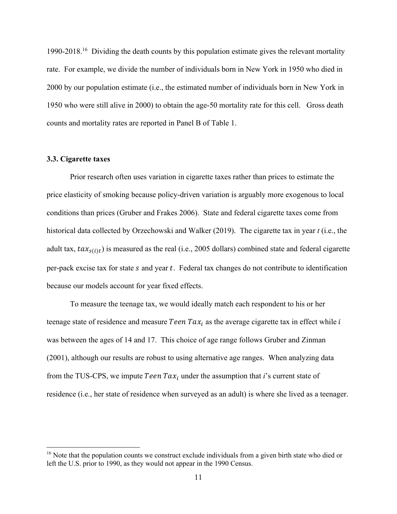1990-2018.<sup>16</sup> Dividing the death counts by this population estimate gives the relevant mortality rate. For example, we divide the number of individuals born in New York in 1950 who died in 2000 by our population estimate (i.e., the estimated number of individuals born in New York in 1950 who were still alive in 2000) to obtain the age-50 mortality rate for this cell. Gross death counts and mortality rates are reported in Panel B of Table 1.

#### **3.3. Cigarette taxes**

Prior research often uses variation in cigarette taxes rather than prices to estimate the price elasticity of smoking because policy-driven variation is arguably more exogenous to local conditions than prices (Gruber and Frakes 2006). State and federal cigarette taxes come from historical data collected by Orzechowski and Walker (2019). The cigarette tax in year *t* (i.e., the adult tax,  $tax_{s(i)t}$ ) is measured as the real (i.e., 2005 dollars) combined state and federal cigarette per-pack excise tax for state  $s$  and year  $t$ . Federal tax changes do not contribute to identification because our models account for year fixed effects.

To measure the teenage tax, we would ideally match each respondent to his or her teenage state of residence and measure Teen  $Tax_i$  as the average cigarette tax in effect while i was between the ages of 14 and 17. This choice of age range follows Gruber and Zinman (2001), although our results are robust to using alternative age ranges. When analyzing data from the TUS-CPS, we impute *Teen Tax<sub>i</sub>* under the assumption that *i*'s current state of residence (i.e., her state of residence when surveyed as an adult) is where she lived as a teenager.

 $16$  Note that the population counts we construct exclude individuals from a given birth state who died or left the U.S. prior to 1990, as they would not appear in the 1990 Census.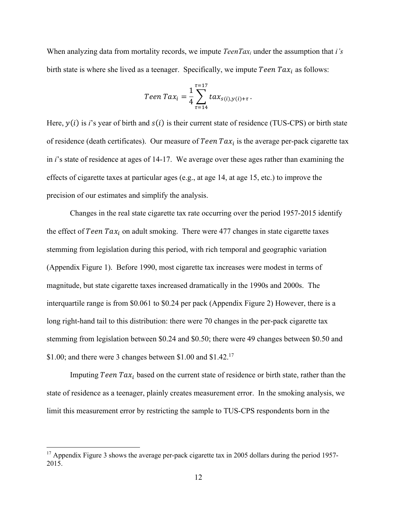When analyzing data from mortality records, we impute *TeenTaxi* under the assumption that *i's*  birth state is where she lived as a teenager. Specifically, we impute *Teen Tax<sub>i</sub>* as follows:

$$
Teen\,Tax_i = \frac{1}{4} \sum_{\tau=14}^{\tau=17} tax_{s(i),y(i)+\tau}.
$$

Here,  $y(i)$  is *i*'s year of birth and  $s(i)$  is their current state of residence (TUS-CPS) or birth state of residence (death certificates). Our measure of Teen  $Tax_i$  is the average per-pack cigarette tax in *i*'s state of residence at ages of 14-17. We average over these ages rather than examining the effects of cigarette taxes at particular ages (e.g., at age 14, at age 15, etc.) to improve the precision of our estimates and simplify the analysis.

Changes in the real state cigarette tax rate occurring over the period 1957-2015 identify the effect of Teen  $Tax_i$  on adult smoking. There were 477 changes in state cigarette taxes stemming from legislation during this period, with rich temporal and geographic variation (Appendix Figure 1). Before 1990, most cigarette tax increases were modest in terms of magnitude, but state cigarette taxes increased dramatically in the 1990s and 2000s. The interquartile range is from \$0.061 to \$0.24 per pack (Appendix Figure 2) However, there is a long right-hand tail to this distribution: there were 70 changes in the per-pack cigarette tax stemming from legislation between \$0.24 and \$0.50; there were 49 changes between \$0.50 and \$1.00; and there were 3 changes between \$1.00 and \$1.42.17

Imputing Teen  $Tax_i$  based on the current state of residence or birth state, rather than the state of residence as a teenager, plainly creates measurement error. In the smoking analysis, we limit this measurement error by restricting the sample to TUS-CPS respondents born in the

<sup>&</sup>lt;sup>17</sup> Appendix Figure 3 shows the average per-pack cigarette tax in 2005 dollars during the period 1957-2015.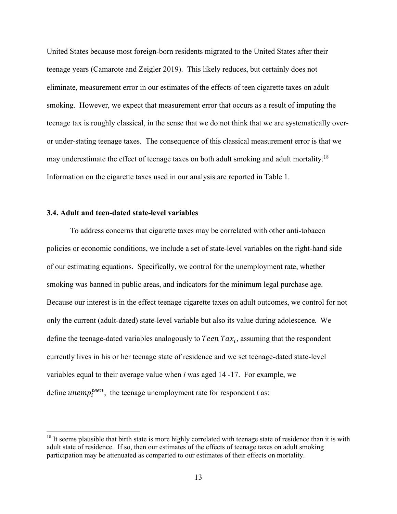United States because most foreign-born residents migrated to the United States after their teenage years (Camarote and Zeigler 2019). This likely reduces, but certainly does not eliminate, measurement error in our estimates of the effects of teen cigarette taxes on adult smoking. However, we expect that measurement error that occurs as a result of imputing the teenage tax is roughly classical, in the sense that we do not think that we are systematically overor under-stating teenage taxes. The consequence of this classical measurement error is that we may underestimate the effect of teenage taxes on both adult smoking and adult mortality.18 Information on the cigarette taxes used in our analysis are reported in Table 1.

## **3.4. Adult and teen-dated state-level variables**

To address concerns that cigarette taxes may be correlated with other anti-tobacco policies or economic conditions, we include a set of state-level variables on the right-hand side of our estimating equations. Specifically, we control for the unemployment rate, whether smoking was banned in public areas, and indicators for the minimum legal purchase age. Because our interest is in the effect teenage cigarette taxes on adult outcomes, we control for not only the current (adult-dated) state-level variable but also its value during adolescence. We define the teenage-dated variables analogously to *Teen Tax<sub>i</sub>*, assuming that the respondent currently lives in his or her teenage state of residence and we set teenage-dated state-level variables equal to their average value when *i* was aged 14 -17. For example, we define  $unemp_i^{teen}$ , the teenage unemployment rate for respondent *i* as:

 $18$  It seems plausible that birth state is more highly correlated with teenage state of residence than it is with adult state of residence. If so, then our estimates of the effects of teenage taxes on adult smoking participation may be attenuated as comparted to our estimates of their effects on mortality.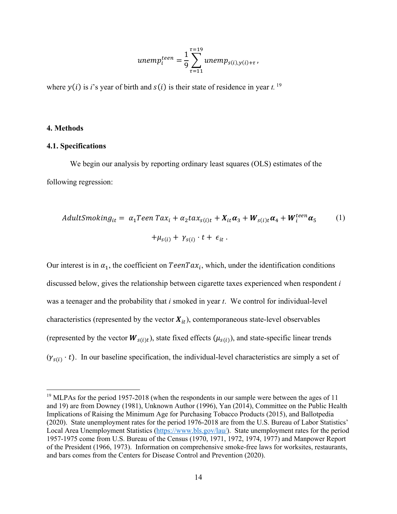$$
unemp_i^{teen} = \frac{1}{9} \sum_{\tau=11}^{\tau=19} unemp_{s(i),y(i)+\tau},
$$

where  $y(i)$  is *i*'s year of birth and  $s(i)$  is their state of residence in year *t*. <sup>19</sup>

### **4. Methods**

## **4.1. Specifications**

We begin our analysis by reporting ordinary least squares (OLS) estimates of the following regression:

$$
AdultSmoking_{it} = \alpha_1 Teen\,Tax_i + \alpha_2 tax_{s(i)t} + X_{it}\alpha_3 + W_{s(i)t}\alpha_4 + W_i^{teen}\alpha_5 \qquad (1)
$$

$$
+ \mu_{s(i)} + \gamma_{s(i)} \cdot t + \epsilon_{it} \, .
$$

Our interest is in  $\alpha_1$ , the coefficient on  $TeenTax_i$ , which, under the identification conditions discussed below, gives the relationship between cigarette taxes experienced when respondent *i* was a teenager and the probability that *i* smoked in year *t*. We control for individual-level characteristics (represented by the vector  $X_{it}$ ), contemporaneous state-level observables (represented by the vector  $W_{s(i)t}$ ), state fixed effects ( $\mu_{s(i)}$ ), and state-specific linear trends  $(y_{s(i)} \cdot t)$ . In our baseline specification, the individual-level characteristics are simply a set of

<sup>&</sup>lt;sup>19</sup> MLPAs for the period 1957-2018 (when the respondents in our sample were between the ages of 11 and 19) are from Downey (1981), Unknown Author (1996), Yan (2014), Committee on the Public Health Implications of Raising the Minimum Age for Purchasing Tobacco Products (2015), and Ballotpedia (2020). State unemployment rates for the period 1976-2018 are from the U.S. Bureau of Labor Statistics' Local Area Unemployment Statistics (https://www.bls.gov/lau/). State unemployment rates for the period 1957-1975 come from U.S. Bureau of the Census (1970, 1971, 1972, 1974, 1977) and Manpower Report of the President (1966, 1973). Information on comprehensive smoke-free laws for worksites, restaurants, and bars comes from the Centers for Disease Control and Prevention (2020).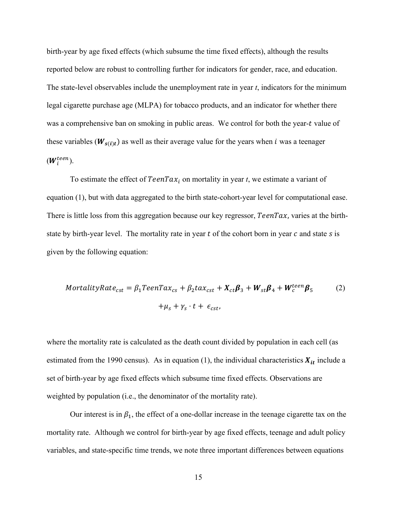birth-year by age fixed effects (which subsume the time fixed effects), although the results reported below are robust to controlling further for indicators for gender, race, and education. The state-level observables include the unemployment rate in year *t*, indicators for the minimum legal cigarette purchase age (MLPA) for tobacco products, and an indicator for whether there was a comprehensive ban on smoking in public areas. We control for both the year-t value of these variables ( $W_{s(i)t}$ ) as well as their average value for the years when *i* was a teenager  $(W_i^{teen}).$ 

To estimate the effect of  $TeenTax_i$  on mortality in year *t*, we estimate a variant of equation (1), but with data aggregated to the birth state-cohort-year level for computational ease. There is little loss from this aggregation because our key regressor,  $Teen Tax$ , varies at the birthstate by birth-year level. The mortality rate in year  $t$  of the cohort born in year  $c$  and state  $s$  is given by the following equation:

$$
MortalityRate_{cst} = \beta_1 TeenTax_{cs} + \beta_2 tax_{cst} + X_{ct}\beta_3 + W_{st}\beta_4 + W_c^{teen}\beta_5
$$
\n
$$
+ \mu_s + \gamma_s \cdot t + \epsilon_{cst},
$$
\n(2)

where the mortality rate is calculated as the death count divided by population in each cell (as estimated from the 1990 census). As in equation (1), the individual characteristics  $X_{it}$  include a set of birth-year by age fixed effects which subsume time fixed effects. Observations are weighted by population (i.e., the denominator of the mortality rate).

Our interest is in  $\beta_1$ , the effect of a one-dollar increase in the teenage cigarette tax on the mortality rate. Although we control for birth-year by age fixed effects, teenage and adult policy variables, and state-specific time trends, we note three important differences between equations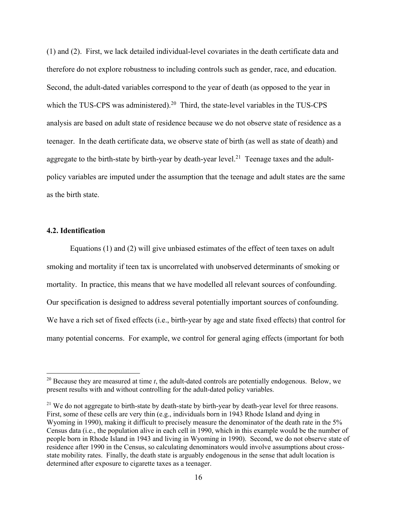(1) and (2). First, we lack detailed individual-level covariates in the death certificate data and therefore do not explore robustness to including controls such as gender, race, and education. Second, the adult-dated variables correspond to the year of death (as opposed to the year in which the TUS-CPS was administered).<sup>20</sup> Third, the state-level variables in the TUS-CPS analysis are based on adult state of residence because we do not observe state of residence as a teenager. In the death certificate data, we observe state of birth (as well as state of death) and aggregate to the birth-state by birth-year by death-year level.<sup>21</sup> Teenage taxes and the adultpolicy variables are imputed under the assumption that the teenage and adult states are the same as the birth state.

#### **4.2. Identification**

Equations (1) and (2) will give unbiased estimates of the effect of teen taxes on adult smoking and mortality if teen tax is uncorrelated with unobserved determinants of smoking or mortality. In practice, this means that we have modelled all relevant sources of confounding. Our specification is designed to address several potentially important sources of confounding. We have a rich set of fixed effects (i.e., birth-year by age and state fixed effects) that control for many potential concerns. For example, we control for general aging effects (important for both

<sup>20</sup> Because they are measured at time *t*, the adult-dated controls are potentially endogenous. Below, we present results with and without controlling for the adult-dated policy variables.

<sup>&</sup>lt;sup>21</sup> We do not aggregate to birth-state by death-state by birth-year by death-year level for three reasons. First, some of these cells are very thin (e.g., individuals born in 1943 Rhode Island and dying in Wyoming in 1990), making it difficult to precisely measure the denominator of the death rate in the 5% Census data (i.e., the population alive in each cell in 1990, which in this example would be the number of people born in Rhode Island in 1943 and living in Wyoming in 1990). Second, we do not observe state of residence after 1990 in the Census, so calculating denominators would involve assumptions about crossstate mobility rates. Finally, the death state is arguably endogenous in the sense that adult location is determined after exposure to cigarette taxes as a teenager.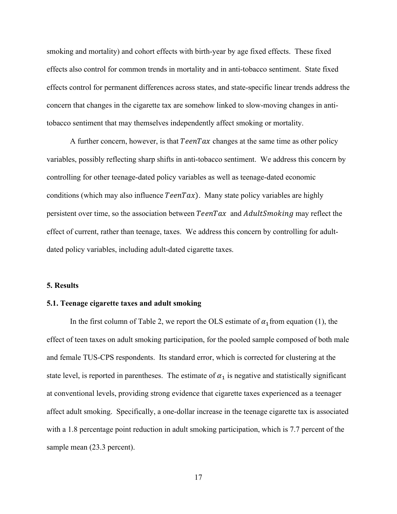smoking and mortality) and cohort effects with birth-year by age fixed effects. These fixed effects also control for common trends in mortality and in anti-tobacco sentiment. State fixed effects control for permanent differences across states, and state-specific linear trends address the concern that changes in the cigarette tax are somehow linked to slow-moving changes in antitobacco sentiment that may themselves independently affect smoking or mortality.

A further concern, however, is that  $TeenTax$  changes at the same time as other policy variables, possibly reflecting sharp shifts in anti-tobacco sentiment. We address this concern by controlling for other teenage-dated policy variables as well as teenage-dated economic conditions (which may also influence  $TeenTax$ ). Many state policy variables are highly persistent over time, so the association between  $Team Tax$  and  $AdultSmoking$  may reflect the effect of current, rather than teenage, taxes. We address this concern by controlling for adultdated policy variables, including adult-dated cigarette taxes.

## **5. Results**

#### **5.1. Teenage cigarette taxes and adult smoking**

In the first column of Table 2, we report the OLS estimate of  $\alpha_1$  from equation (1), the effect of teen taxes on adult smoking participation, for the pooled sample composed of both male and female TUS-CPS respondents. Its standard error, which is corrected for clustering at the state level, is reported in parentheses. The estimate of  $\alpha_1$  is negative and statistically significant at conventional levels, providing strong evidence that cigarette taxes experienced as a teenager affect adult smoking. Specifically, a one-dollar increase in the teenage cigarette tax is associated with a 1.8 percentage point reduction in adult smoking participation, which is 7.7 percent of the sample mean  $(23.3$  percent).

17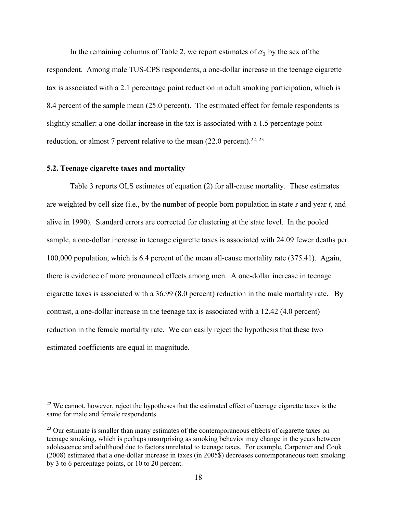In the remaining columns of Table 2, we report estimates of  $\alpha_1$  by the sex of the respondent. Among male TUS-CPS respondents, a one-dollar increase in the teenage cigarette tax is associated with a 2.1 percentage point reduction in adult smoking participation, which is 8.4 percent of the sample mean (25.0 percent). The estimated effect for female respondents is slightly smaller: a one-dollar increase in the tax is associated with a 1.5 percentage point reduction, or almost 7 percent relative to the mean  $(22.0 \text{ percent})$ .<sup>22, 23</sup>

### **5.2. Teenage cigarette taxes and mortality**

Table 3 reports OLS estimates of equation (2) for all-cause mortality. These estimates are weighted by cell size (i.e., by the number of people born population in state *s* and year *t*, and alive in 1990). Standard errors are corrected for clustering at the state level. In the pooled sample, a one-dollar increase in teenage cigarette taxes is associated with 24.09 fewer deaths per 100,000 population, which is 6.4 percent of the mean all-cause mortality rate (375.41). Again, there is evidence of more pronounced effects among men. A one-dollar increase in teenage cigarette taxes is associated with a 36.99 (8.0 percent) reduction in the male mortality rate. By contrast, a one-dollar increase in the teenage tax is associated with a 12.42 (4.0 percent) reduction in the female mortality rate. We can easily reject the hypothesis that these two estimated coefficients are equal in magnitude.

<sup>&</sup>lt;sup>22</sup> We cannot, however, reject the hypotheses that the estimated effect of teenage cigarette taxes is the same for male and female respondents.

<sup>&</sup>lt;sup>23</sup> Our estimate is smaller than many estimates of the contemporaneous effects of cigarette taxes on teenage smoking, which is perhaps unsurprising as smoking behavior may change in the years between adolescence and adulthood due to factors unrelated to teenage taxes. For example, Carpenter and Cook (2008) estimated that a one-dollar increase in taxes (in 2005\$) decreases contemporaneous teen smoking by 3 to 6 percentage points, or 10 to 20 percent.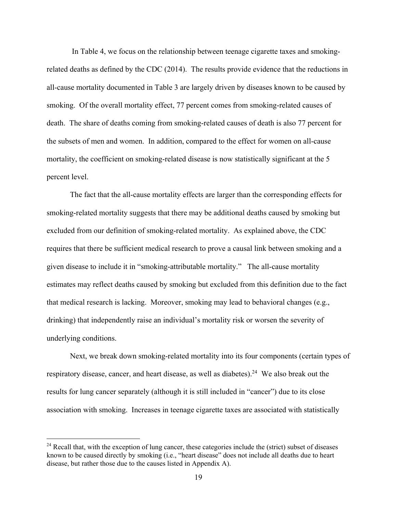In Table 4, we focus on the relationship between teenage cigarette taxes and smokingrelated deaths as defined by the CDC (2014). The results provide evidence that the reductions in all-cause mortality documented in Table 3 are largely driven by diseases known to be caused by smoking. Of the overall mortality effect, 77 percent comes from smoking-related causes of death. The share of deaths coming from smoking-related causes of death is also 77 percent for the subsets of men and women. In addition, compared to the effect for women on all-cause mortality, the coefficient on smoking-related disease is now statistically significant at the 5 percent level.

The fact that the all-cause mortality effects are larger than the corresponding effects for smoking-related mortality suggests that there may be additional deaths caused by smoking but excluded from our definition of smoking-related mortality. As explained above, the CDC requires that there be sufficient medical research to prove a causal link between smoking and a given disease to include it in "smoking-attributable mortality." The all-cause mortality estimates may reflect deaths caused by smoking but excluded from this definition due to the fact that medical research is lacking. Moreover, smoking may lead to behavioral changes (e.g., drinking) that independently raise an individual's mortality risk or worsen the severity of underlying conditions.

Next, we break down smoking-related mortality into its four components (certain types of respiratory disease, cancer, and heart disease, as well as diabetes).<sup>24</sup> We also break out the results for lung cancer separately (although it is still included in "cancer") due to its close association with smoking. Increases in teenage cigarette taxes are associated with statistically

<sup>&</sup>lt;sup>24</sup> Recall that, with the exception of lung cancer, these categories include the (strict) subset of diseases known to be caused directly by smoking (i.e., "heart disease" does not include all deaths due to heart disease, but rather those due to the causes listed in Appendix A).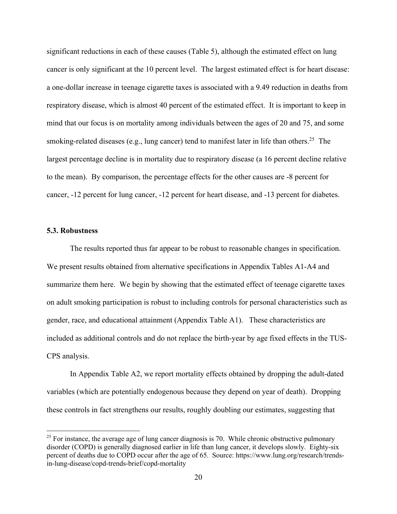significant reductions in each of these causes (Table 5), although the estimated effect on lung cancer is only significant at the 10 percent level. The largest estimated effect is for heart disease: a one-dollar increase in teenage cigarette taxes is associated with a 9.49 reduction in deaths from respiratory disease, which is almost 40 percent of the estimated effect. It is important to keep in mind that our focus is on mortality among individuals between the ages of 20 and 75, and some smoking-related diseases (e.g., lung cancer) tend to manifest later in life than others.<sup>25</sup> The largest percentage decline is in mortality due to respiratory disease (a 16 percent decline relative to the mean). By comparison, the percentage effects for the other causes are -8 percent for cancer, -12 percent for lung cancer, -12 percent for heart disease, and -13 percent for diabetes.

#### **5.3. Robustness**

The results reported thus far appear to be robust to reasonable changes in specification. We present results obtained from alternative specifications in Appendix Tables A1-A4 and summarize them here. We begin by showing that the estimated effect of teenage cigarette taxes on adult smoking participation is robust to including controls for personal characteristics such as gender, race, and educational attainment (Appendix Table A1). These characteristics are included as additional controls and do not replace the birth-year by age fixed effects in the TUS-CPS analysis.

In Appendix Table A2, we report mortality effects obtained by dropping the adult-dated variables (which are potentially endogenous because they depend on year of death). Dropping these controls in fact strengthens our results, roughly doubling our estimates, suggesting that

 $^{25}$  For instance, the average age of lung cancer diagnosis is 70. While chronic obstructive pulmonary disorder (COPD) is generally diagnosed earlier in life than lung cancer, it develops slowly. Eighty-six percent of deaths due to COPD occur after the age of 65. Source: https://www.lung.org/research/trendsin-lung-disease/copd-trends-brief/copd-mortality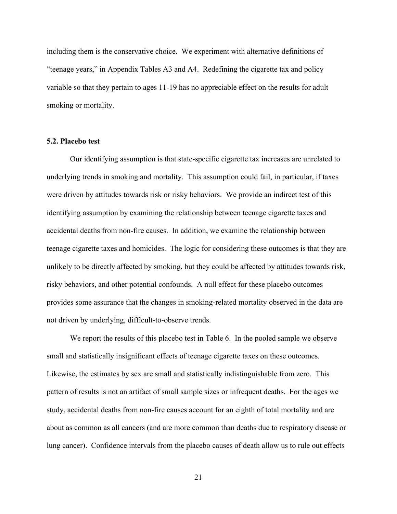including them is the conservative choice. We experiment with alternative definitions of "teenage years," in Appendix Tables A3 and A4. Redefining the cigarette tax and policy variable so that they pertain to ages 11-19 has no appreciable effect on the results for adult smoking or mortality.

#### **5.2. Placebo test**

Our identifying assumption is that state-specific cigarette tax increases are unrelated to underlying trends in smoking and mortality. This assumption could fail, in particular, if taxes were driven by attitudes towards risk or risky behaviors. We provide an indirect test of this identifying assumption by examining the relationship between teenage cigarette taxes and accidental deaths from non-fire causes. In addition, we examine the relationship between teenage cigarette taxes and homicides. The logic for considering these outcomes is that they are unlikely to be directly affected by smoking, but they could be affected by attitudes towards risk, risky behaviors, and other potential confounds. A null effect for these placebo outcomes provides some assurance that the changes in smoking-related mortality observed in the data are not driven by underlying, difficult-to-observe trends.

We report the results of this placebo test in Table 6. In the pooled sample we observe small and statistically insignificant effects of teenage cigarette taxes on these outcomes. Likewise, the estimates by sex are small and statistically indistinguishable from zero. This pattern of results is not an artifact of small sample sizes or infrequent deaths. For the ages we study, accidental deaths from non-fire causes account for an eighth of total mortality and are about as common as all cancers (and are more common than deaths due to respiratory disease or lung cancer). Confidence intervals from the placebo causes of death allow us to rule out effects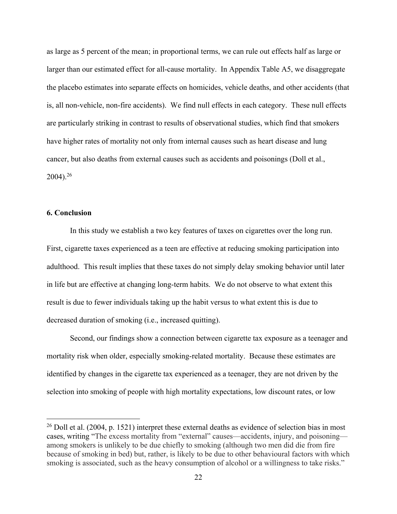as large as 5 percent of the mean; in proportional terms, we can rule out effects half as large or larger than our estimated effect for all-cause mortality. In Appendix Table A5, we disaggregate the placebo estimates into separate effects on homicides, vehicle deaths, and other accidents (that is, all non-vehicle, non-fire accidents). We find null effects in each category. These null effects are particularly striking in contrast to results of observational studies, which find that smokers have higher rates of mortality not only from internal causes such as heart disease and lung cancer, but also deaths from external causes such as accidents and poisonings (Doll et al., 2004).26

## **6. Conclusion**

In this study we establish a two key features of taxes on cigarettes over the long run. First, cigarette taxes experienced as a teen are effective at reducing smoking participation into adulthood. This result implies that these taxes do not simply delay smoking behavior until later in life but are effective at changing long-term habits. We do not observe to what extent this result is due to fewer individuals taking up the habit versus to what extent this is due to decreased duration of smoking (i.e., increased quitting).

Second, our findings show a connection between cigarette tax exposure as a teenager and mortality risk when older, especially smoking-related mortality. Because these estimates are identified by changes in the cigarette tax experienced as a teenager, they are not driven by the selection into smoking of people with high mortality expectations, low discount rates, or low

 $^{26}$  Doll et al. (2004, p. 1521) interpret these external deaths as evidence of selection bias in most cases, writing "The excess mortality from "external" causes—accidents, injury, and poisoning among smokers is unlikely to be due chiefly to smoking (although two men did die from fire because of smoking in bed) but, rather, is likely to be due to other behavioural factors with which smoking is associated, such as the heavy consumption of alcohol or a willingness to take risks."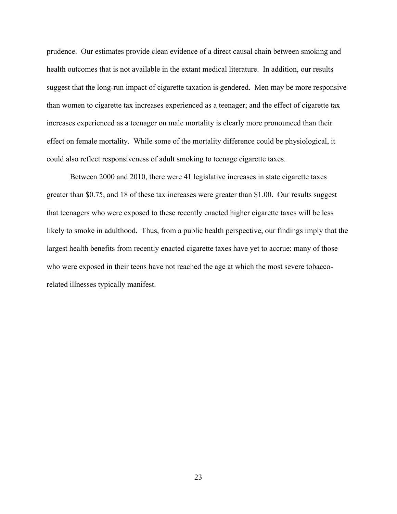prudence. Our estimates provide clean evidence of a direct causal chain between smoking and health outcomes that is not available in the extant medical literature. In addition, our results suggest that the long-run impact of cigarette taxation is gendered. Men may be more responsive than women to cigarette tax increases experienced as a teenager; and the effect of cigarette tax increases experienced as a teenager on male mortality is clearly more pronounced than their effect on female mortality. While some of the mortality difference could be physiological, it could also reflect responsiveness of adult smoking to teenage cigarette taxes.

Between 2000 and 2010, there were 41 legislative increases in state cigarette taxes greater than \$0.75, and 18 of these tax increases were greater than \$1.00. Our results suggest that teenagers who were exposed to these recently enacted higher cigarette taxes will be less likely to smoke in adulthood. Thus, from a public health perspective, our findings imply that the largest health benefits from recently enacted cigarette taxes have yet to accrue: many of those who were exposed in their teens have not reached the age at which the most severe tobaccorelated illnesses typically manifest.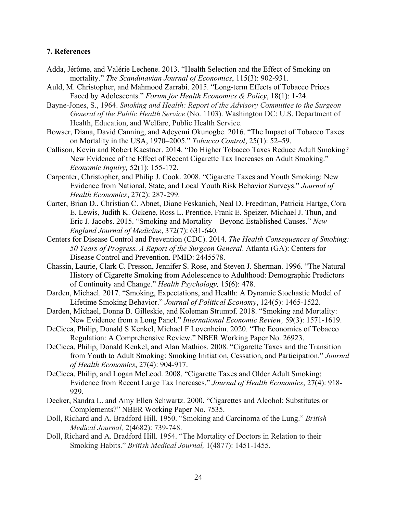## **7. References**

- Adda, Jérôme, and Valérie Lechene. 2013. "Health Selection and the Effect of Smoking on mortality." *The Scandinavian Journal of Economics*, 115(3): 902-931.
- Auld, M. Christopher, and Mahmood Zarrabi. 2015. "Long-term Effects of Tobacco Prices Faced by Adolescents." *Forum for Health Economics & Policy*, 18(1): 1-24.
- Bayne-Jones, S., 1964. *Smoking and Health: Report of the Advisory Committee to the Surgeon General of the Public Health Service* (No. 1103). Washington DC: U.S. Department of Health, Education, and Welfare, Public Health Service.
- Bowser, Diana, David Canning, and Adeyemi Okunogbe. 2016. "The Impact of Tobacco Taxes on Mortality in the USA, 1970–2005." *Tobacco Control*, 25(1): 52–59.
- Callison, Kevin and Robert Kaestner. 2014. "Do Higher Tobacco Taxes Reduce Adult Smoking? New Evidence of the Effect of Recent Cigarette Tax Increases on Adult Smoking." *Economic Inquiry,* 52(1): 155-172.
- Carpenter, Christopher, and Philip J. Cook. 2008. "Cigarette Taxes and Youth Smoking: New Evidence from National, State, and Local Youth Risk Behavior Surveys." *Journal of Health Economics*, 27(2): 287-299.
- Carter, Brian D., Christian C. Abnet, Diane Feskanich, Neal D. Freedman, Patricia Hartge, Cora E. Lewis, Judith K. Ockene, Ross L. Prentice, Frank E. Speizer, Michael J. Thun, and Eric J. Jacobs. 2015. "Smoking and Mortality—Beyond Established Causes." *New England Journal of Medicine*, 372(7): 631-640.
- Centers for Disease Control and Prevention (CDC). 2014. *The Health Consequences of Smoking: 50 Years of Progress. A Report of the Surgeon General*. Atlanta (GA): Centers for Disease Control and Prevention. PMID: 2445578.
- Chassin, Laurie, Clark C. Presson, Jennifer S. Rose, and Steven J. Sherman. 1996. "The Natural History of Cigarette Smoking from Adolescence to Adulthood: Demographic Predictors of Continuity and Change." *Health Psychology,* 15(6): 478.
- Darden, Michael. 2017. "Smoking, Expectations, and Health: A Dynamic Stochastic Model of Lifetime Smoking Behavior." *Journal of Political Economy*, 124(5): 1465-1522.
- Darden, Michael, Donna B. Gilleskie, and Koleman Strumpf. 2018. "Smoking and Mortality: New Evidence from a Long Panel." *International Economic Review,* 59(3): 1571-1619.
- DeCicca, Philip, Donald S Kenkel, Michael F Lovenheim. 2020. "The Economics of Tobacco Regulation: A Comprehensive Review." NBER Working Paper No. 26923.
- DeCicca, Philip, Donald Kenkel, and Alan Mathios. 2008. "Cigarette Taxes and the Transition from Youth to Adult Smoking: Smoking Initiation, Cessation, and Participation." *Journal of Health Economics*, 27(4): 904-917.
- DeCicca, Philip, and Logan McLeod. 2008. "Cigarette Taxes and Older Adult Smoking: Evidence from Recent Large Tax Increases." *Journal of Health Economics*, 27(4): 918- 929.
- Decker, Sandra L. and Amy Ellen Schwartz. 2000. "Cigarettes and Alcohol: Substitutes or Complements?" NBER Working Paper No. 7535.
- Doll, Richard and A. Bradford Hill. 1950. "Smoking and Carcinoma of the Lung." *British Medical Journal,* 2(4682): 739-748.
- Doll, Richard and A. Bradford Hill. 1954. "The Mortality of Doctors in Relation to their Smoking Habits." *British Medical Journal,* 1(4877): 1451-1455.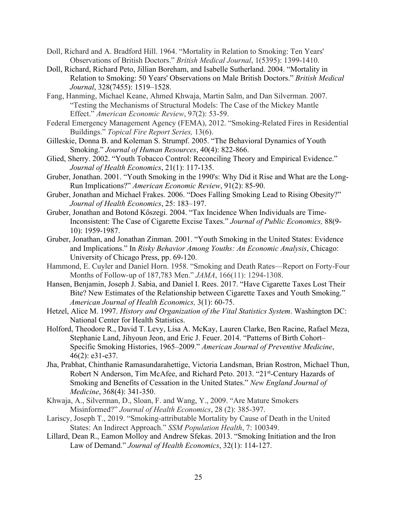- Doll, Richard and A. Bradford Hill. 1964. "Mortality in Relation to Smoking: Ten Years' Observations of British Doctors." *British Medical Journal*, 1(5395): 1399-1410.
- Doll, Richard, Richard Peto, Jillian Boreham, and Isabelle Sutherland. 2004. "Mortality in Relation to Smoking: 50 Years' Observations on Male British Doctors." *British Medical Journal*, 328(7455): 1519–1528.
- Fang, Hanming, Michael Keane, Ahmed Khwaja, Martin Salm, and Dan Silverman. 2007. "Testing the Mechanisms of Structural Models: The Case of the Mickey Mantle Effect." *American Economic Review*, 9*7*(2): 53-59.
- Federal Emergency Management Agency (FEMA), 2012. "Smoking-Related Fires in Residential Buildings." *Topical Fire Report Series,* 13(6).
- Gilleskie, Donna B. and Koleman S. Strumpf. 2005. "The Behavioral Dynamics of Youth Smoking." *Journal of Human Resources*, 40(4): 822-866.
- Glied, Sherry. 2002. "Youth Tobacco Control: Reconciling Theory and Empirical Evidence." *Journal of Health Economics*, 21(1): 117-135.
- Gruber, Jonathan. 2001. "Youth Smoking in the 1990's: Why Did it Rise and What are the Long-Run Implications?" *American Economic Review*, 91(2): 85-90.
- Gruber, Jonathan and Michael Frakes. 2006. "Does Falling Smoking Lead to Rising Obesity?" *Journal of Health Economics*, 25: 183–197.
- Gruber, Jonathan and Botond Kőszegi. 2004. "Tax Incidence When Individuals are Time-Inconsistent: The Case of Cigarette Excise Taxes." *Journal of Public Economics,* 88(9- 10): 1959-1987.
- Gruber, Jonathan, and Jonathan Zinman. 2001. "Youth Smoking in the United States: Evidence and Implications." In *Risky Behavior Among Youths: An Economic Analysis*, Chicago: University of Chicago Press, pp. 69-120.
- Hammond, E. Cuyler and Daniel Horn. 1958. "Smoking and Death Rates—Report on Forty-Four Months of Follow-up of 187,783 Men." *JAMA*, 166(11): 1294-1308.
- Hansen, Benjamin, Joseph J. Sabia, and Daniel I. Rees. 2017. "Have Cigarette Taxes Lost Their Bite? New Estimates of the Relationship between Cigarette Taxes and Youth Smoking." *American Journal of Health Economics,* 3(1): 60-75.
- Hetzel, Alice M. 1997. *History and Organization of the Vital Statistics System*. Washington DC: National Center for Health Statistics.
- Holford, Theodore R., David T. Levy, Lisa A. McKay, Lauren Clarke, Ben Racine, Rafael Meza, Stephanie Land, Jihyoun Jeon, and Eric J. Feuer. 2014. "Patterns of Birth Cohort– Specific Smoking Histories, 1965–2009." *American Journal of Preventive Medicine*, 46(2): e31-e37.
- Jha, Prabhat, Chinthanie Ramasundarahettige, Victoria Landsman, Brian Rostron, Michael Thun, Robert N Anderson, Tim McAfee, and Richard Peto. 2013. "21st-Century Hazards of Smoking and Benefits of Cessation in the United States." *New England Journal of Medicine*, 368(4): 341-350.
- Khwaja, A., Silverman, D., Sloan, F. and Wang, Y., 2009. "Are Mature Smokers Misinformed?" *Journal of Health Economics*, 28 (2): 385-397.
- Lariscy, Joseph T., 2019. "Smoking-attributable Mortality by Cause of Death in the United States: An Indirect Approach." *SSM Population Health*, 7: 100349.
- Lillard, Dean R., Eamon Molloy and Andrew Sfekas. 2013. "Smoking Initiation and the Iron Law of Demand." *Journal of Health Economics*, 32(1): 114-127.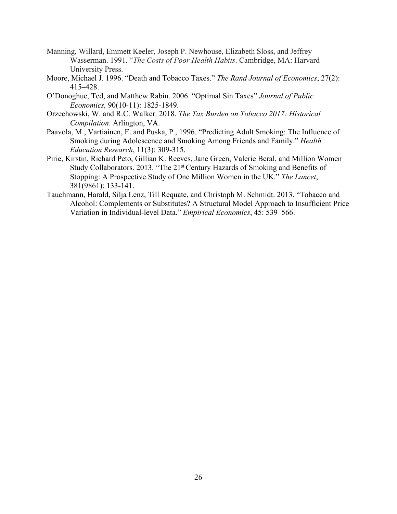- Manning, Willard, Emmett Keeler, Joseph P. Newhouse, Elizabeth Sloss, and Jeffrey Wasserman. 1991. "*The Costs of Poor Health Habits*. Cambridge, MA: Harvard University Press.
- Moore, Michael J. 1996. "Death and Tobacco Taxes." *The Rand Journal of Economics*, 27(2): 415–428.
- O'Donoghue, Ted, and Matthew Rabin. 2006. "Optimal Sin Taxes" *Journal of Public Economics,* 90(10-11): 1825-1849.
- Orzechowski, W. and R.C. Walker. 2018. *The Tax Burden on Tobacco 2017: Historical Compilation*. Arlington, VA.
- Paavola, M., Vartiainen, E. and Puska, P., 1996. "Predicting Adult Smoking: The Influence of Smoking during Adolescence and Smoking Among Friends and Family." *Health Education Research*, 11(3): 309-315.
- Pirie, Kirstin, Richard Peto, Gillian K. Reeves, Jane Green, Valerie Beral, and Million Women Study Collaborators. 2013. "The 21<sup>st</sup> Century Hazards of Smoking and Benefits of Stopping: A Prospective Study of One Million Women in the UK." *The Lancet*, 381(9861): 133-141.
- Tauchmann, Harald, Silja Lenz, Till Requate, and Christoph M. Schmidt. 2013. "Tobacco and Alcohol: Complements or Substitutes? A Structural Model Approach to Insufficient Price Variation in Individual-level Data." *Empirical Economics*, 45: 539–566.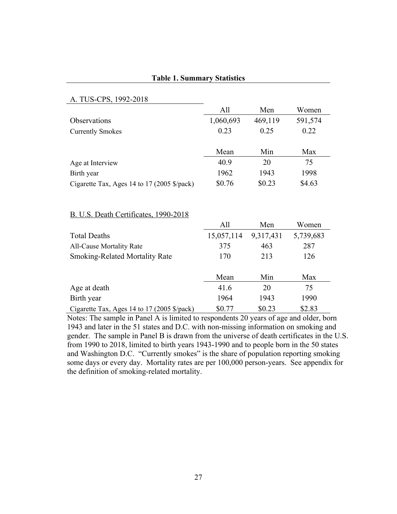## **Table 1. Summary Statistics**

## A. TUS-CPS, 1992-2018 All Men Women Observations 1,060,693 469,119 591,574  $Currently Smokes$   $0.23$   $0.25$   $0.22$ Mean Min Max Age at Interview  $40.9$  20 75 Birth year 1962 1943 1998 Cigarette Tax, Ages 14 to 17 (2005 \$/pack) \$0.76 \$0.23 \$4.63 B. U.S. Death Certificates, 1990-2018 All Men Women Total Deaths 15,057,114 9,317,431 5,739,683 All-Cause Mortality Rate 375 463 287 Smoking-Related Mortality Rate 170 213 126 Mean Min Max Age at death 41.6 20 75 Birth year 1964 1943 1990 Cigarette Tax, Ages 14 to 17 (2005 \$/pack) \$0.77 \$0.23 \$2.83

Notes: The sample in Panel A is limited to respondents 20 years of age and older, born 1943 and later in the 51 states and D.C. with non-missing information on smoking and gender. The sample in Panel B is drawn from the universe of death certificates in the U.S. from 1990 to 2018, limited to birth years 1943-1990 and to people born in the 50 states and Washington D.C. "Currently smokes" is the share of population reporting smoking some days or every day. Mortality rates are per 100,000 person-years. See appendix for the definition of smoking-related mortality.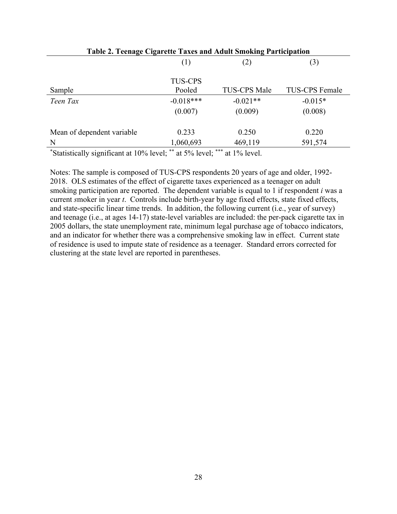| Table 2. Teenage Cigarette Taxes and Adult Smoking Participation |                |                     |                       |
|------------------------------------------------------------------|----------------|---------------------|-----------------------|
|                                                                  | (1)            | (2)                 | (3)                   |
|                                                                  | <b>TUS-CPS</b> |                     |                       |
| Sample                                                           | Pooled         | <b>TUS-CPS Male</b> | <b>TUS-CPS Female</b> |
| Teen Tax                                                         | $-0.018***$    | $-0.021**$          | $-0.015*$             |
|                                                                  | (0.007)        | (0.009)             | (0.008)               |
| Mean of dependent variable                                       | 0.233          | 0.250               | 0.220                 |
| N                                                                | 1,060,693      | 469,119             | 591,574               |
|                                                                  |                |                     |                       |

Notes: The sample is composed of TUS-CPS respondents 20 years of age and older, 1992- 2018. OLS estimates of the effect of cigarette taxes experienced as a teenager on adult smoking participation are reported. The dependent variable is equal to 1 if respondent *i* was a current *s*moker in year *t*. Controls include birth-year by age fixed effects, state fixed effects, and state-specific linear time trends. In addition, the following current (i.e., year of survey) and teenage (i.e., at ages 14-17) state-level variables are included: the per-pack cigarette tax in 2005 dollars, the state unemployment rate, minimum legal purchase age of tobacco indicators, and an indicator for whether there was a comprehensive smoking law in effect. Current state of residence is used to impute state of residence as a teenager. Standard errors corrected for clustering at the state level are reported in parentheses.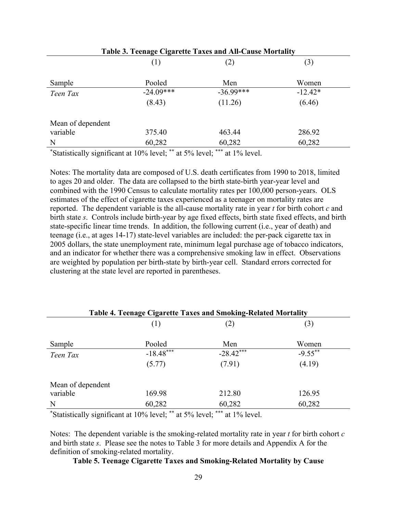| Table 3. Teenage Cigarette Taxes and All-Cause Mortality |             |             |           |  |
|----------------------------------------------------------|-------------|-------------|-----------|--|
|                                                          | (1)         | (2)         | (3)       |  |
| Sample                                                   | Pooled      | Men         | Women     |  |
| Teen Tax                                                 | $-24.09***$ | $-36.99***$ | $-12.42*$ |  |
|                                                          | (8.43)      | (11.26)     | (6.46)    |  |
| Mean of dependent                                        |             |             |           |  |
| variable                                                 | 375.40      | 463.44      | 286.92    |  |
| N                                                        | 60,282      | 60,282      | 60,282    |  |

Notes: The mortality data are composed of U.S. death certificates from 1990 to 2018, limited to ages 20 and older. The data are collapsed to the birth state-birth year-year level and combined with the 1990 Census to calculate mortality rates per 100,000 person-years. OLS estimates of the effect of cigarette taxes experienced as a teenager on mortality rates are reported. The dependent variable is the all-cause mortality rate in year *t* for birth cohort *c* and birth state *s*. Controls include birth-year by age fixed effects, birth state fixed effects, and birth state-specific linear time trends. In addition, the following current (i.e., year of death) and teenage (i.e., at ages 14-17) state-level variables are included: the per-pack cigarette tax in 2005 dollars, the state unemployment rate, minimum legal purchase age of tobacco indicators, and an indicator for whether there was a comprehensive smoking law in effect. Observations are weighted by population per birth-state by birth-year cell. Standard errors corrected for clustering at the state level are reported in parentheses.

| <b>Table 4. Teenage Cigarette Taxes and Smoking-Related Mortality</b> |                                                                                 |                |            |  |
|-----------------------------------------------------------------------|---------------------------------------------------------------------------------|----------------|------------|--|
|                                                                       | (1)                                                                             | (2)            | (3)        |  |
| Sample                                                                | Pooled                                                                          | Men            | Women      |  |
| Teen Tax                                                              | $-18.48***$                                                                     | $-28.42***$    | $-9.55***$ |  |
|                                                                       | (5.77)                                                                          | (7.91)         | (4.19)     |  |
| Mean of dependent                                                     |                                                                                 |                |            |  |
| variable                                                              | 169.98                                                                          | 212.80         | 126.95     |  |
| N                                                                     | 60,282                                                                          | 60,282         | 60,282     |  |
|                                                                       | the contract of the contract of the contract of the contract of the contract of | alle alle alle |            |  |

\* Statistically significant at 10% level; \*\* at 5% level; \*\*\* at 1% level.

Notes: The dependent variable is the smoking-related mortality rate in year *t* for birth cohort *c* and birth state *s*. Please see the notes to Table 3 for more details and Appendix A for the definition of smoking-related mortality.

## **Table 5. Teenage Cigarette Taxes and Smoking-Related Mortality by Cause**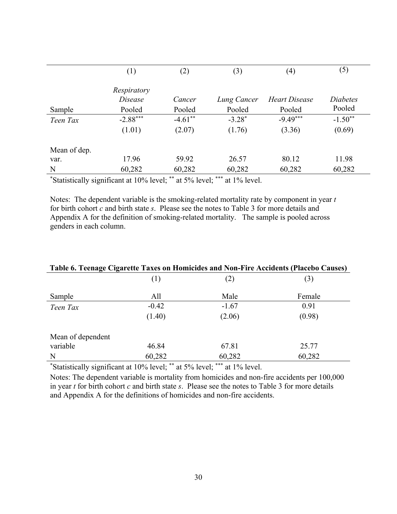|              | (1)            | (2)       | (3)         | (4)           | (5)       |
|--------------|----------------|-----------|-------------|---------------|-----------|
|              | Respiratory    |           |             |               |           |
|              | <i>Disease</i> | Cancer    | Lung Cancer | Heart Disease | Diabetes  |
| Sample       | Pooled         | Pooled    | Pooled      | Pooled        | Pooled    |
| Teen Tax     | $-2.88***$     | $-4.61**$ | $-3.28*$    | $-9.49***$    | $-1.50**$ |
|              | (1.01)         | (2.07)    | (1.76)      | (3.36)        | (0.69)    |
| Mean of dep. |                |           |             |               |           |
| var.         | 17.96          | 59.92     | 26.57       | 80.12         | 11.98     |
| N            | 60,282         | 60,282    | 60,282      | 60,282        | 60,282    |

Notes: The dependent variable is the smoking-related mortality rate by component in year *t* for birth cohort *c* and birth state *s*. Please see the notes to Table 3 for more details and Appendix A for the definition of smoking-related mortality. The sample is pooled across genders in each column.

| Table 6. Teenage Cigarette Taxes on Homicides and Non-Fire Accidents (Placebo Causes) |         |         |        |  |
|---------------------------------------------------------------------------------------|---------|---------|--------|--|
|                                                                                       | (1)     | (2)     | (3)    |  |
| Sample                                                                                | All     | Male    | Female |  |
| Teen Tax                                                                              | $-0.42$ | $-1.67$ | 0.91   |  |
|                                                                                       | (1.40)  | (2.06)  | (0.98) |  |
| Mean of dependent                                                                     |         |         |        |  |
| variable                                                                              | 46.84   | 67.81   | 25.77  |  |
| N                                                                                     | 60,282  | 60,282  | 60,282 |  |

\* Statistically significant at 10% level; \*\* at 5% level; \*\*\* at 1% level.

Notes: The dependent variable is mortality from homicides and non-fire accidents per 100,000 in year *t* for birth cohort *c* and birth state *s*. Please see the notes to Table 3 for more details and Appendix A for the definitions of homicides and non-fire accidents.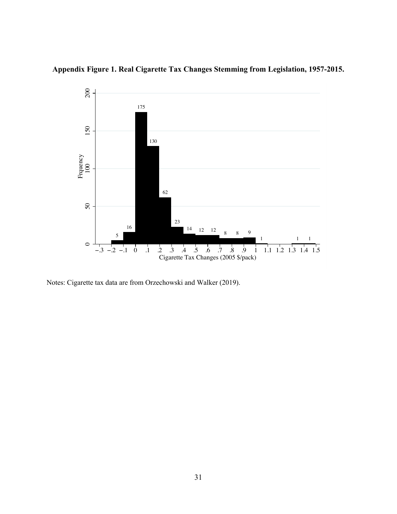



Notes: Cigarette tax data are from Orzechowski and Walker (2019).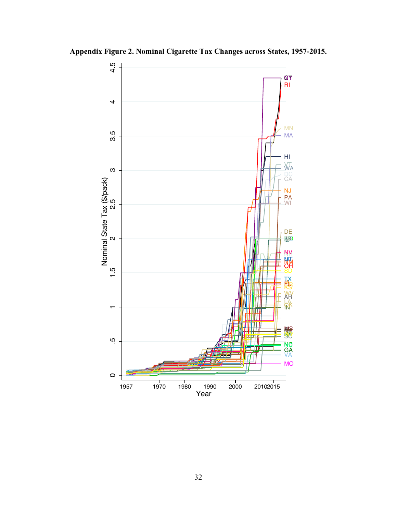

**Appendix Figure 2. Nominal Cigarette Tax Changes across States, 1957-2015.**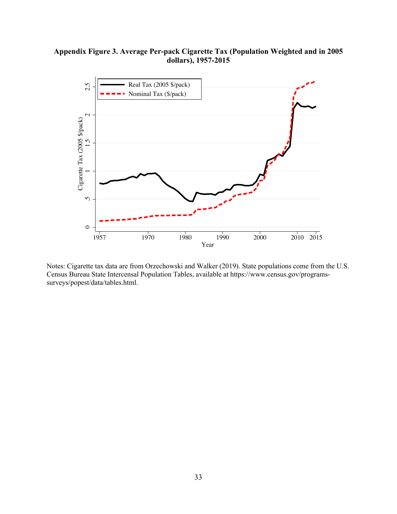## **Appendix Figure 3. Average Per-pack Cigarette Tax (Population Weighted and in 2005 dollars), 1957-2015**



Notes: Cigarette tax data are from Orzechowski and Walker (2019). State populations come from the U.S. Census Bureau State Intercensal Population Tables, available at https://www.census.gov/programssurveys/popest/data/tables.html.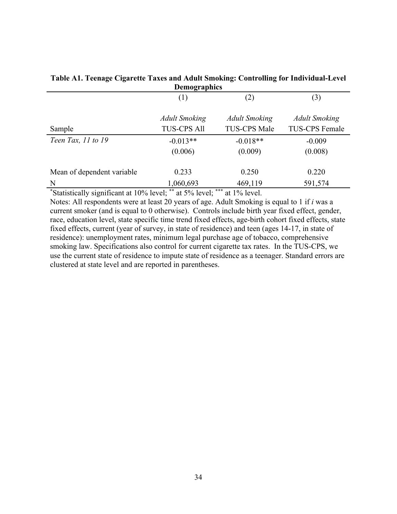| <b>Demographics</b>        |                      |                      |                      |  |
|----------------------------|----------------------|----------------------|----------------------|--|
|                            | (1)                  | (2)                  | (3)                  |  |
|                            | <b>Adult Smoking</b> | <b>Adult Smoking</b> | <b>Adult Smoking</b> |  |
| Sample                     | <b>TUS-CPS All</b>   | <b>TUS-CPS Male</b>  | TUS-CPS Female       |  |
| Teen Tax, 11 to 19         | $-0.013**$           | $-0.018**$           | $-0.009$             |  |
|                            | (0.006)              | (0.009)              | (0.008)              |  |
| Mean of dependent variable | 0.233                | 0.250                | 0.220                |  |
| N                          | 1,060,693            | 469,119              | 591,574              |  |

## **Table A1. Teenage Cigarette Taxes and Adult Smoking: Controlling for Individual-Level Demographics**

\* Statistically significant at 10% level; \*\* at 5% level; \*\*\* at 1% level.

Notes: All respondents were at least 20 years of age. Adult Smoking is equal to 1 if *i* was a current smoker (and is equal to 0 otherwise). Controls include birth year fixed effect, gender, race, education level, state specific time trend fixed effects, age-birth cohort fixed effects, state fixed effects, current (year of survey, in state of residence) and teen (ages 14-17, in state of residence): unemployment rates, minimum legal purchase age of tobacco, comprehensive smoking law. Specifications also control for current cigarette tax rates. In the TUS-CPS, we use the current state of residence to impute state of residence as a teenager. Standard errors are clustered at state level and are reported in parentheses.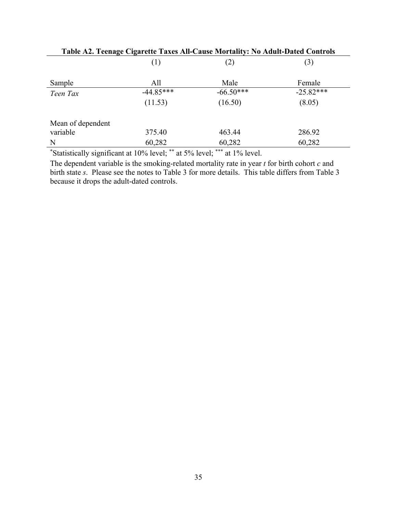| Table A2. Teenage eigarette Taxes Air-Cause Mortancy. To Audit-Dated Controls |             |             |             |  |
|-------------------------------------------------------------------------------|-------------|-------------|-------------|--|
|                                                                               | (1)         | (2)         | (3)         |  |
| Sample                                                                        | All         | Male        | Female      |  |
| Teen Tax                                                                      | $-44.85***$ | $-66.50***$ | $-25.82***$ |  |
|                                                                               | (11.53)     | (16.50)     | (8.05)      |  |
| Mean of dependent                                                             |             |             |             |  |
| variable                                                                      | 375.40      | 463.44      | 286.92      |  |
| N                                                                             | 60,282      | 60,282      | 60,282      |  |

**Table A2. Teenage Cigarette Taxes All-Cause Mortality: No Adult-Dated Controls** 

\* Statistically significant at 10% level; \*\* at 5% level; \*\*\* at 1% level.

The dependent variable is the smoking-related mortality rate in year *t* for birth cohort *c* and birth state *s*. Please see the notes to Table 3 for more details. This table differs from Table 3 because it drops the adult-dated controls.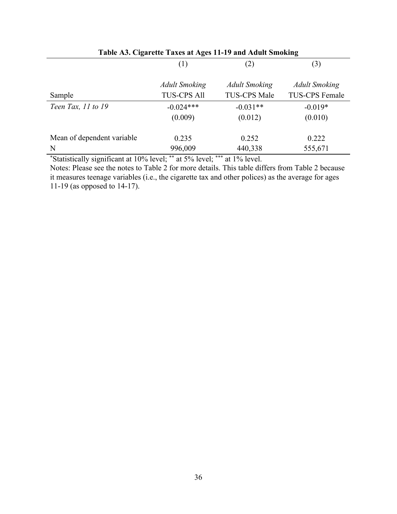| Table Ao. Cigarette Taxes at Ages 11-12 and Addit Smoking |                      |                      |                       |
|-----------------------------------------------------------|----------------------|----------------------|-----------------------|
|                                                           | (1)                  | (2)                  | (3)                   |
|                                                           | <b>Adult Smoking</b> | <b>Adult Smoking</b> | <b>Adult Smoking</b>  |
| Sample                                                    | <b>TUS-CPS All</b>   | TUS-CPS Male         | <b>TUS-CPS Female</b> |
| Teen Tax, 11 to 19                                        | $-0.024***$          | $-0.031**$           | $-0.019*$             |
|                                                           | (0.009)              | (0.012)              | (0.010)               |
| Mean of dependent variable                                | 0.235                | 0.252                | 0.222                 |
| N                                                         | 996,009              | 440,338              | 555,671               |

**Table A3. Cigarette Taxes at Ages 11-19 and Adult Smoking**

\* Statistically significant at 10% level; \*\* at 5% level; \*\*\* at 1% level.

Notes: Please see the notes to Table 2 for more details. This table differs from Table 2 because it measures teenage variables (i.e., the cigarette tax and other polices) as the average for ages 11-19 (as opposed to 14-17).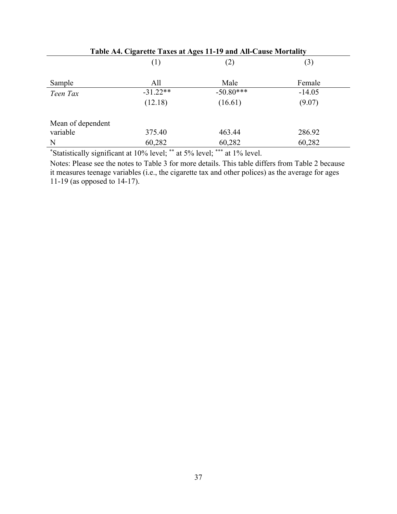| Table A4. Cigarette Taxes at Ages 11-19 and All-Cause Mortality |            |             |          |  |
|-----------------------------------------------------------------|------------|-------------|----------|--|
|                                                                 | (1)        | (2)         | (3)      |  |
| Sample                                                          | All        | Male        | Female   |  |
| Teen Tax                                                        | $-31.22**$ | $-50.80***$ | $-14.05$ |  |
|                                                                 | (12.18)    | (16.61)     | (9.07)   |  |
| Mean of dependent                                               |            |             |          |  |
| variable                                                        | 375.40     | 463.44      | 286.92   |  |
| N                                                               | 60,282     | 60,282      | 60,282   |  |

Notes: Please see the notes to Table 3 for more details. This table differs from Table 2 because it measures teenage variables (i.e., the cigarette tax and other polices) as the average for ages 11-19 (as opposed to 14-17).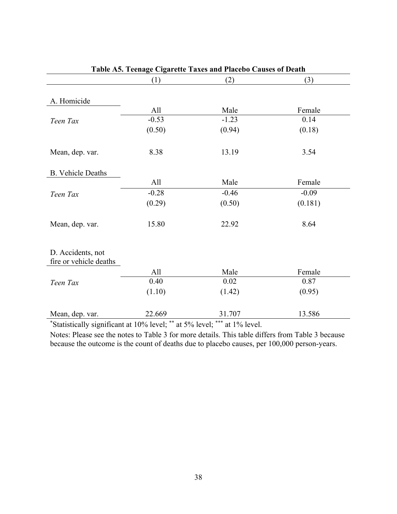| Table A5. Teenage Cigarette Taxes and Placebo Causes of Death |         |         |         |  |
|---------------------------------------------------------------|---------|---------|---------|--|
|                                                               | (1)     | (2)     | (3)     |  |
|                                                               |         |         |         |  |
| A. Homicide                                                   |         |         |         |  |
|                                                               | All     | Male    | Female  |  |
| Teen Tax                                                      | $-0.53$ | $-1.23$ | 0.14    |  |
|                                                               | (0.50)  | (0.94)  | (0.18)  |  |
| Mean, dep. var.                                               | 8.38    | 13.19   | 3.54    |  |
| <b>B.</b> Vehicle Deaths                                      |         |         |         |  |
|                                                               | All     | Male    | Female  |  |
| Teen Tax                                                      | $-0.28$ | $-0.46$ | $-0.09$ |  |
|                                                               | (0.29)  | (0.50)  | (0.181) |  |
| Mean, dep. var.                                               | 15.80   | 22.92   | 8.64    |  |
| D. Accidents, not<br>fire or vehicle deaths                   |         |         |         |  |
|                                                               | All     | Male    | Female  |  |
| Teen Tax                                                      | 0.40    | 0.02    | 0.87    |  |
|                                                               | (1.10)  | (1.42)  | (0.95)  |  |
| Mean, dep. var.                                               | 22.669  | 31.707  | 13.586  |  |

Notes: Please see the notes to Table 3 for more details. This table differs from Table 3 because because the outcome is the count of deaths due to placebo causes, per 100,000 person-years.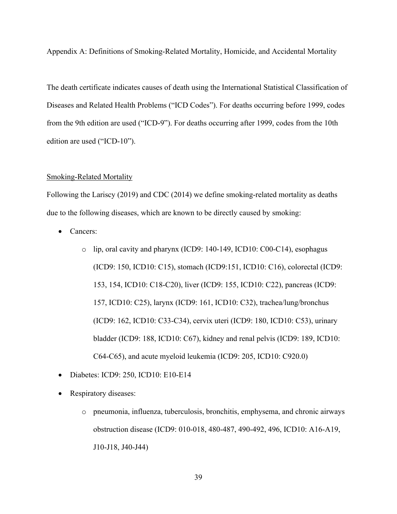Appendix A: Definitions of Smoking-Related Mortality, Homicide, and Accidental Mortality

The death certificate indicates causes of death using the International Statistical Classification of Diseases and Related Health Problems ("ICD Codes"). For deaths occurring before 1999, codes from the 9th edition are used ("ICD-9"). For deaths occurring after 1999, codes from the 10th edition are used ("ICD-10").

#### Smoking-Related Mortality

Following the Lariscy (2019) and CDC (2014) we define smoking-related mortality as deaths due to the following diseases, which are known to be directly caused by smoking:

- Cancers:
	- o lip, oral cavity and pharynx (ICD9: 140-149, ICD10: C00-C14), esophagus (ICD9: 150, ICD10: C15), stomach (ICD9:151, ICD10: C16), colorectal (ICD9: 153, 154, ICD10: C18-C20), liver (ICD9: 155, ICD10: C22), pancreas (ICD9: 157, ICD10: C25), larynx (ICD9: 161, ICD10: C32), trachea/lung/bronchus (ICD9: 162, ICD10: C33-C34), cervix uteri (ICD9: 180, ICD10: C53), urinary bladder (ICD9: 188, ICD10: C67), kidney and renal pelvis (ICD9: 189, ICD10: C64-C65), and acute myeloid leukemia (ICD9: 205, ICD10: C920.0)
- Diabetes: ICD9: 250, ICD10: E10-E14
- Respiratory diseases:
	- o pneumonia, influenza, tuberculosis, bronchitis, emphysema, and chronic airways obstruction disease (ICD9: 010-018, 480-487, 490-492, 496, ICD10: A16-A19, J10-J18, J40-J44)